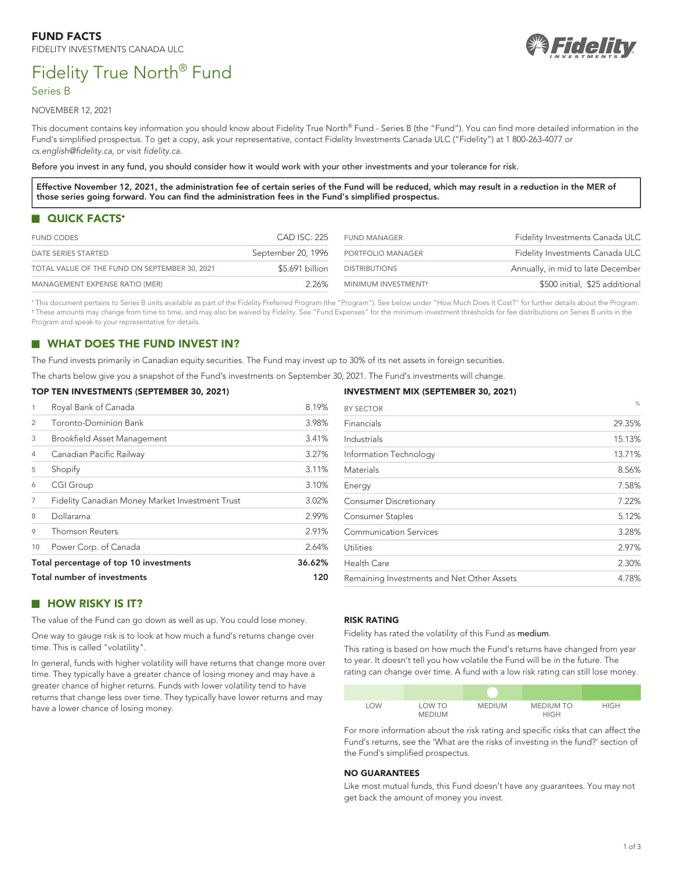



NOVEMBER 12, 2021

This document contains key information you should know about Fidelity True North® Fund - Series B (the "Fund"). You can find more detailed information in the Fund's simplified prospectus. To get a copy, ask your representative, contact Fidelity Investments Canada ULC ("Fidelity") at 1 800-263-4077 or *[cs.english@fidelity.ca](mailto:cs.english@fidelity.ca)*, or visit *[fidelity.ca](https://www.fidelity.ca)*.

Before you invest in any fund, you should consider how it would work with your other investments and your tolerance for risk.

**Effective November 12, 2021, the administration fee of certain series of the Fund will be reduced, which may result in a reduction in the MER of those series going forward. You can find the administration fees in the Fund's simplified prospectus.**

# <span id="page-0-2"></span>**QUICK FACTS[\\*](#page-0-0)**

| <b>FUND CODES</b>                             | CAD ISC: 225       | <b>FUND MANAGER</b>             | Fidelity Investments Canada ULC   |
|-----------------------------------------------|--------------------|---------------------------------|-----------------------------------|
| DATE SERIES STARTED                           | September 20, 1996 | PORTFOLIO MANAGER               | Fidelity Investments Canada ULC   |
| TOTAL VALUE OF THE FUND ON SEPTEMBER 30, 2021 | \$5.691 billion    | <b>DISTRIBUTIONS</b>            | Annually, in mid to late December |
| MANAGEMENT EXPENSE RATIO (MER)                | 226%               | MINIMUM INVESTMENT <sup>+</sup> | \$500 initial, \$25 additional    |

<span id="page-0-1"></span><span id="page-0-0"></span>[\\*](#page-0-2) This document pertains to Series B units available as part of the Fidelity Preferred Program (the "Program"). See below under "How Much Does It Cost?" for further details about the Program. [†](#page-0-3) These amounts may change from time to time, and may also be waived by Fidelity. See "Fund Expenses" for the minimum investment thresholds for fee distributions on Series B units in the Program and speak to your representative for details.

# **WHAT DOES THE FUND INVEST IN?**

The Fund invests primarily in Canadian equity securities. The Fund may invest up to 30% of its net assets in foreign securities.

The charts below give you a snapshot of the Fund's investments on September 30, 2021. The Fund's investments will change.

#### **TOP TEN INVESTMENTS (SEPTEMBER 30, 2021)**

| 1                           | Royal Bank of Canada                            | 8.19%  |
|-----------------------------|-------------------------------------------------|--------|
| $\overline{2}$              | Toronto-Dominion Bank                           | 3.98%  |
| 3                           | Brookfield Asset Management                     | 3.41%  |
| 4                           | Canadian Pacific Railway                        | 3.27%  |
| 5                           | Shopify                                         | 3.11%  |
| 6                           | <b>CGI Group</b>                                | 3.10%  |
| 7                           | Fidelity Canadian Money Market Investment Trust | 3.02%  |
| 8                           | Dollarama                                       | 2.99%  |
| 9                           | <b>Thomson Reuters</b>                          | 2.91%  |
| 10                          | Power Corp. of Canada                           | 2.64%  |
|                             | Total percentage of top 10 investments          | 36.62% |
| Total number of investments |                                                 | 120    |

# **HOW RISKY IS IT?**

The value of the Fund can go down as well as up. You could lose money.

One way to gauge risk is to look at how much a fund's returns change over time. This is called "volatility".

In general, funds with higher volatility will have returns that change more over time. They typically have a greater chance of losing money and may have a greater chance of higher returns. Funds with lower volatility tend to have returns that change less over time. They typically have lower returns and may have a lower chance of losing money.

#### <span id="page-0-3"></span>**INVESTMENT MIX (SEPTEMBER 30, 2021)**

| <b>BY SECTOR</b>                           | $\%$   |
|--------------------------------------------|--------|
| Financials                                 | 29.35% |
| Industrials                                | 15.13% |
| Information Technology                     | 13.71% |
| Materials                                  | 8.56%  |
| Energy                                     | 7.58%  |
| <b>Consumer Discretionary</b>              | 7.22%  |
| Consumer Staples                           | 5.12%  |
| <b>Communication Services</b>              | 3.28%  |
| Utilities                                  | 2.97%  |
| Health Care                                | 2.30%  |
| Remaining Investments and Net Other Assets | 4.78%  |

#### **RISK RATING**

Fidelity has rated the volatility of this Fund as medium.

This rating is based on how much the Fund's returns have changed from year to year. It doesn't tell you how volatile the Fund will be in the future. The rating can change over time. A fund with a low risk rating can still lose money.

| LOW | LOW TO<br><b>MEDIUM</b> | <b>MEDIUM</b> | <b>MEDIUM TO</b><br><b>HIGH</b> | <b>HIGH</b> |
|-----|-------------------------|---------------|---------------------------------|-------------|

For more information about the risk rating and specific risks that can affect the Fund's returns, see the 'What are the risks of investing in the fund?' section of the Fund's simplified prospectus.

#### **NO GUARANTEES**

Like most mutual funds, this Fund doesn't have any guarantees. You may not get back the amount of money you invest.

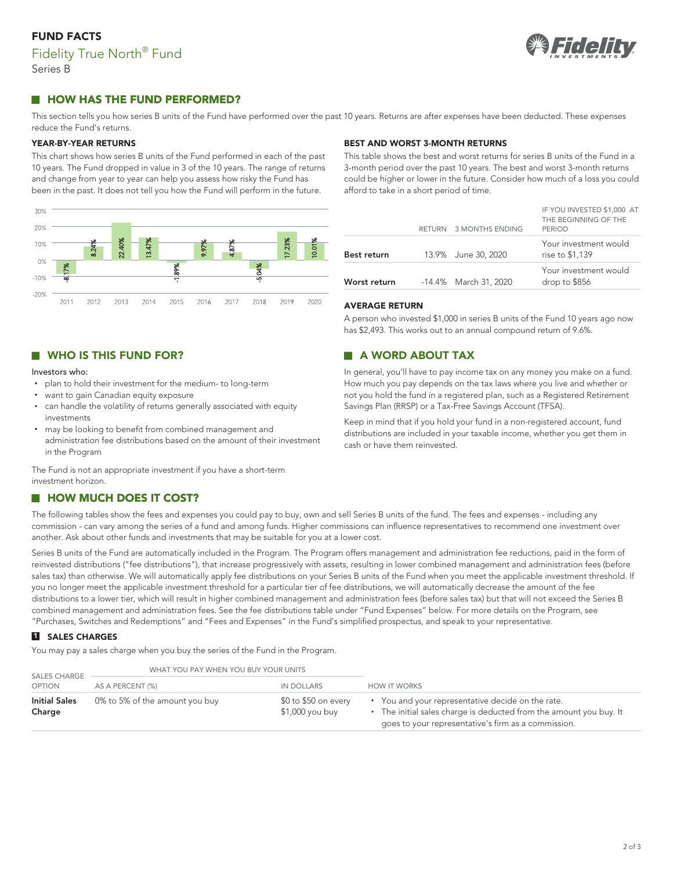# **FUND FACTS** Fidelity True North<sup>®</sup> Fund Series B



# **HOW HAS THE FUND PERFORMED?**

This section tells you how series B units of the Fund have performed over the past 10 years. Returns are after expenses have been deducted. These expenses reduce the Fund's returns.

#### **YEAR-BY-YEAR RETURNS**

This chart shows how series B units of the Fund performed in each of the past 10 years. The Fund dropped in value in 3 of the 10 years. The range of returns and change from year to year can help you assess how risky the Fund has been in the past. It does not tell you how the Fund will perform in the future.



# **BEST AND WORST 3-MONTH RETURNS**

This table shows the best and worst returns for series B units of the Fund in a 3-month period over the past 10 years. The best and worst 3-month returns could be higher or lower in the future. Consider how much of a loss you could afford to take in a short period of time.

|                    | RETURN 3 MONTHS ENDING | IF YOU INVESTED \$1,000 AT<br>THE BEGINNING OF THE<br><b>PERIOD</b> |
|--------------------|------------------------|---------------------------------------------------------------------|
| <b>Best return</b> | 13.9% June 30, 2020    | Your investment would<br>rise to \$1,139                            |
| Worst return       | -14.4% March 31, 2020  | Your investment would<br>drop to \$856                              |

### **AVERAGE RETURN**

A person who invested \$1,000 in series B units of the Fund 10 years ago now has \$2,493. This works out to an annual compound return of 9.6%.

# **A WORD ABOUT TAX**

In general, you'll have to pay income tax on any money you make on a fund. How much you pay depends on the tax laws where you live and whether or not you hold the fund in a registered plan, such as a Registered Retirement Savings Plan (RRSP) or a Tax-Free Savings Account (TFSA).

Keep in mind that if you hold your fund in a non-registered account, fund distributions are included in your taxable income, whether you get them in cash or have them reinvested.

# **WHO IS THIS FUND FOR?**

#### Investors who:

- plan to hold their investment for the medium- to long-term
- want to gain Canadian equity exposure
- can handle the volatility of returns generally associated with equity investments
- may be looking to benefit from combined management and administration fee distributions based on the amount of their investment in the Program

The Fund is not an appropriate investment if you have a short-term investment horizon.

#### **HOW MUCH DOES IT COST?**  $\Box$

The following tables show the fees and expenses you could pay to buy, own and sell Series B units of the fund. The fees and expenses - including any commission - can vary among the series of a fund and among funds. Higher commissions can influence representatives to recommend one investment over another. Ask about other funds and investments that may be suitable for you at a lower cost.

Series B units of the Fund are automatically included in the Program. The Program offers management and administration fee reductions, paid in the form of reinvested distributions ("fee distributions"), that increase progressively with assets, resulting in lower combined management and administration fees (before sales tax) than otherwise. We will automatically apply fee distributions on your Series B units of the Fund when you meet the applicable investment threshold. If you no longer meet the applicable investment threshold for a particular tier of fee distributions, we will automatically decrease the amount of the fee distributions to a lower tier, which will result in higher combined management and administration fees (before sales tax) but that will not exceed the Series B combined management and administration fees. See the fee distributions table under "Fund Expenses" below. For more details on the Program, see "Purchases, Switches and Redemptions" and "Fees and Expenses" in the Fund's simplified prospectus, and speak to your representative.

# **1 SALES CHARGES**

You may pay a sales charge when you buy the series of the Fund in the Program.

| <b>SALES CHARGE</b>            | WHAT YOU PAY WHEN YOU BUY YOUR UNITS |                                         |                                                                                                                                                                                |
|--------------------------------|--------------------------------------|-----------------------------------------|--------------------------------------------------------------------------------------------------------------------------------------------------------------------------------|
| <b>OPTION</b>                  | AS A PERCENT (%)                     | IN DOLLARS                              | <b>HOW IT WORKS</b>                                                                                                                                                            |
| <b>Initial Sales</b><br>Charge | 0% to 5% of the amount you buy       | \$0 to \$50 on every<br>\$1,000 you buy | • You and your representative decide on the rate.<br>• The initial sales charge is deducted from the amount you buy. It<br>goes to your representative's firm as a commission. |